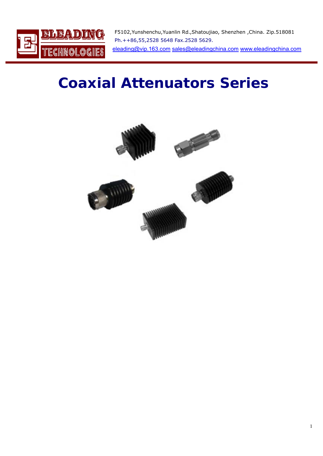

F5102,Yunshenchu,Yuanlin Rd.,Shatoujiao, Shenzhen ,China. Zip.518081 Ph.++86,55,2528 5648 Fax.2528 5629. [eleading@vip.163.com](mailto:eleading@vip.163.com) [sales@eleadingchina.com](mailto:sales@eleadingchina.com) [www.eleadingchina.com](http://www.eleadingchina.com/) 

# **Coaxial Attenuators Series**

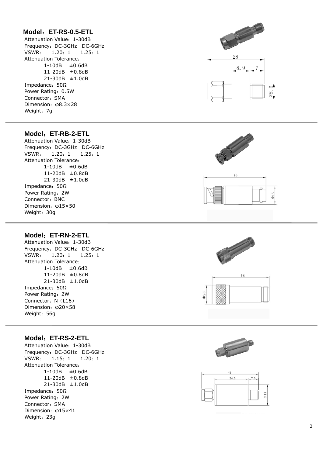## **Model** :**ET-RS-0.5-ETL**

Attenuation Value :1-30dB Frequency :DC-3GHz DC-6GHz VSWR  $1.20: 1$ :1 1.25 :1 Attenuation Tolerance: 1-10dB ±0.6dB 11-20dB ±0.8dB 21-30dB ±1.0dB Impedance: 50Ω Power Rating: 0.5W Connector :SMA Dimension : φ8.3×28 Weight :7g



## **Model** :**ET-RB-2-ETL**

Attenuation Value :1-30dB Frequency :DC-3GHz DC-6GHz VSWR  $1.20:1$ :1 1.25 :1 Attenuation Tolerance: 1-10dB ±0.6dB 11-20dB ±0.8dB 21-30dB ±1.0dB Impedance: 50Ω Power Rating :2W Connector :BNC Dimension : φ15×50 Weight :30g

#### **Model** :**ET-RN-2-ETL**

Attenuation Value :1-30dB Frequency :DC-3GHz DC-6GHz VSWR : 1.20 :1 1.25  $1.25:1$ Attenuation Tolerance: 1-10dB ±0.6dB 11-20dB ±0.8dB 21-30dB ±1.0dB Impedance: 50Ω Power Rating :2W Connector: N (L16) Dimension : φ20×58 Weight :56g

#### **Model** :**ET-RS-2-ETL**

Attenuation Value :1-30dB Frequency :DC-3GHz DC-6GHz VSWR 1.15: 1 :1 1.20 :1 Attenuation Tolerance: 1-10dB ±0.6dB 11-20dB ±0.8dB 21-30dB ±1.0dB Impedance: 50Ω Power Rating :2W Connector :SMA Dimension : φ15×41 Weight :23g









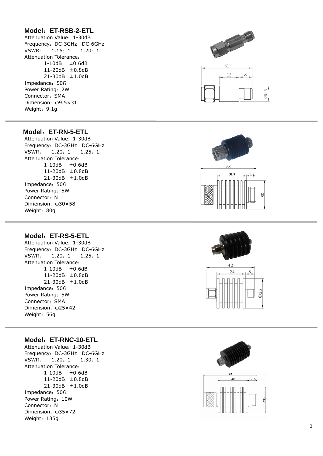## **Model** :**ET-RSB-2-ETL**

Attenuation Value :1-30dB Frequency :DC-3GHz DC-6GHz VSWR  $1.15: 1$ :1 1.20 :1 Attenuation Tolerance: 1-10dB ±0.6dB 11-20dB ±0.8dB 21-30dB ±1.0dB Impedance: 50Ω Power Rating :2W Connector :SMA Dimension : φ9.5×31 Weight: 9.1g



## **Model** :**ET-RN-5-ETL**

Attenuation Value :1-30dB Frequency :DC-3GHz DC-6GHz VSWR  $1.20:1$ :1 1.25 :1 Attenuation Tolerance: 1-10dB ±0.6dB 11-20dB ±0.8dB 21-30dB ±1.0dB Impedance: 50Ω Power Rating :5W Connector: N Dimension : φ30×58 Weight :80g

#### **Model** :**ET-RS-5-ETL**

Attenuation Value :1-30dB Frequency :DC-3GHz DC-6GHz VSWR  $1.20:1$ :1 1.25 :1 Attenuation Tolerance: 1-10dB ±0.6dB 11-20dB ±0.8dB 21-30dB ±1.0dB Impedance: 50Ω Power Rating :5W Connector :SMA Dimension : φ25×42 Weight :56g

#### **Model** :**ET-RNC-10-ETL**

Attenuation Value :1-30dB Frequency :DC-3GHz DC-6GHz VSWR  $1.20:1$ :1 1.30 :1 Attenuation Tolerance: 1-10dB ±0.6dB 11-20dB ±0.8dB 21-30dB ±1.0dB Impedance: 50Ω Power Rating :10W Connector: N Dimension : φ35×72 Weight :135g





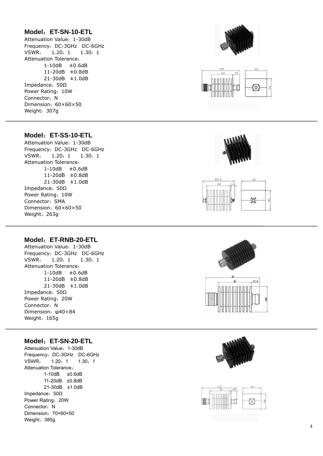## **Model** :**ET-SN-10-ETL**

Attenuation Value :1-30dB Frequency :DC-3GHz DC-6GHz VSWR  $1.20: 1$ :1 1.30 :1 Attenuation Tolerance: 1-10dB ±0.6dB 11-20dB ±0.8dB 21-30dB ±1.0dB Impedance: 50Ω Power Rating :10W Connector: N Dimension :60×60×50 Weight :307g





## **Model** :**ET-SS-10-ETL**

Attenuation Value :1-30dB Frequency :DC-3GHz DC-6GHz VSWR  $1.20:1$ :1 1.30 :1 Attenuation Tolerance: 1-10dB ±0.6dB 11-20dB ±0.8dB 21-30dB ±1.0dB Impedance: 50Ω Power Rating :10W Connector :SMA Dimension :60×60×50 Weight :263g

#### **Model** :**ET-RNB-20-ETL**

Attenuation Value :1-30dB Frequency :DC-3GHz DC-6GHz VSWR  $1.20:1$ :1 1.30 :1 Attenuation Tolerance:  $1-10$ dB  $\pm 0.6$ dB 11-20dB ±0.8dB 21-30dB ±1.0dB Impedance: 50Ω Power Rating :20W Connector: N Dimension : φ40×84 Weight :165g

#### **Model** :**ET-SN-20-ETL**

Attenuation Value :1-30dB Frequency :DC-3GHz DC-6GHz VSWR  $1.20: 1$ :1 1.30 :1 Attenuation Tolerance : 1-10dB ±0.6dB 11-20dB ±0.8dB 21-30dB ±1.0dB Impedance: 50Ω Power Rating :20W Connector: N Dimension: 70×60×50 Weight :385g









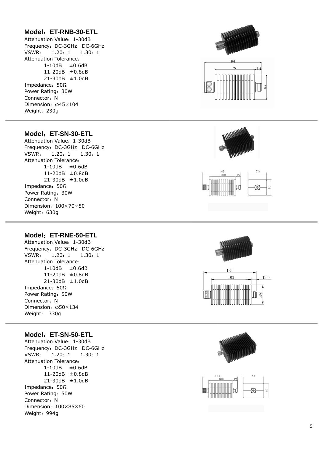## **Model** :**ET-RNB-30-ETL**

Attenuation Value :1-30dB Frequency :DC-3GHz DC-6GHz VSWR  $1.20: 1$ :1 1.30 :1 Attenuation Tolerance: 1-10dB ±0.6dB 11-20dB ±0.8dB 21-30dB ±1.0dB Impedance: 50Ω Power Rating :30W Connector: N Dimension : φ45×104 Weight :230g

#### **Model** :**ET-SN-30-ETL**

Attenuation Value :1-30dB Frequency :DC-3GHz DC-6GHz VSWR  $1.20:1$ :1 1.30 :1 Attenuation Tolerance: 1-10dB ±0.6dB 11-20dB ±0.8dB 21-30dB ±1.0dB Impedance: 50Ω Power Rating :30W Connector: N Dimension :100×70×50 Weight :630g

#### **Model** :**ET-RNE-50-ETL**

Attenuation Value :1-30dB Frequency :DC-3GHz DC-6GHz VSWR  $1.20: 1$ :1 1.30 :1 Attenuation Tolerance: 1-10dB ±0.6dB 11-20dB ±0.8dB 21-30dB ±1.0dB Impedance: 50Ω Power Rating :50W Connector: N Dimension : φ50×134 Weight : 330g

#### **Model** :**ET-SN-50-ETL**

Attenuation Value :1-30dB Frequency :DC-3GHz DC-6GHz VSWR  $1.20:1$ :1 1.30 :1 Attenuation Tolerance: 1-10dB ±0.6dB 11-20dB ±0.8dB 21-30dB ±1.0dB Impedance: 50Ω Power Rating :50W Connector: N Dimension :100×85×60 Weight :994g











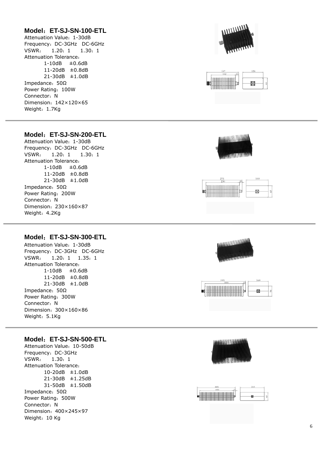#### **Model** :**ET-SJ-SN-100-ETL**

Attenuation Value :1-30dB Frequency :DC-3GHz DC-6GHz VSWR  $1.20: 1$ :1 1.30 :1 Attenuation Tolerance: 1-10dB ±0.6dB 11-20dB ±0.8dB 21-30dB ±1.0dB Impedance: 50Ω Power Rating :100W Connector: N Dimension :142×120×65 Weight: 1.7Kg





## **Model** :**ET-SJ-SN-200-ETL**

Attenuation Value :1-30dB Frequency :DC-3GHz DC-6GHz VSWR  $1.20: 1$ :1 1.30 :1 Attenuation Tolerance: 1-10dB ±0.6dB 11-20dB ±0.8dB 21-30dB ±1.0dB Impedance: 50Ω Power Rating :200W Connector: N Dimension :230×160×87 Weight: 4.2Kg

## **Model** :**ET-SJ-SN-300-ETL**

Attenuation Value :1-30dB Frequency :DC-3GHz DC-6GHz VSWR  $: 1.20: 1 1.35: 1$ Attenuation Tolerance: 1-10dB ±0.6dB 11-20dB ±0.8dB 21-30dB ±1.0dB Impedance: 50Ω Power Rating :300W Connector: N Dimension :300×160×86 Weight: 5.1Kg

#### **Model** :**ET-SJ-SN-500-ETL**

 $\overline{a}$ 

Attenuation Value :10-50dB Frequency :DC-3GHz VSWR  $: 1.30:1$ Attenuation Tolerance: 10-20dB ±1.0dB 21-30dB ±1.25dB 31-50dB ±1.50dB Impedance: 50Ω Power Rating :500W Connector: N Dimension :400×245×97 Weight: 10 Kg









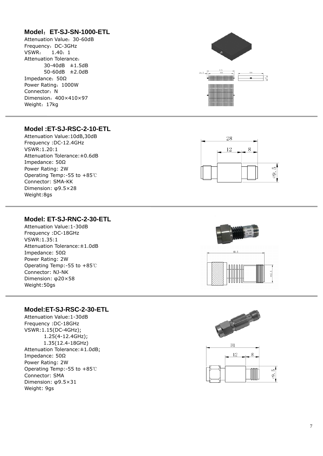## **Model** :**ET-SJ-SN-1000-ETL**

Attenuation Value :30-60dB Frequency :DC-3GHz VSWR  $: 1.40:1$ Attenuation Tolerance: 30-40dB ±1.5dB 50-60dB ±2.0dB Impedance: 50Ω Power Rating :1000W Connector: N Dimension :400×410×97 Weight :17kg



## **Model :ET-SJ-RSC-2-10-ETL**

Attenuation Value:10dB,30dB Frequency :DC-12.4GHz VSWR:1.20:1 Attenuation Tolerance:±0.6dB Impedance: 50 Ω Power Rating: 2W Operating Temp:-55 to +85 ℃ Connector: SMA-KK Dimension: φ9.5×28 Weight:8gs



## **Model: ET-SJ-RNC-2-30-ETL**

Attenuation Tolerance:±1.0dB Operating Temp:-55 to  $+85^\circ$ C Dimension: φ20×58 Attenuation Value:1-30dB Frequency :DC-18GHz VSWR:1.35:1 Impedance: 50 Ω Power Rating: 2W Connector: NJ-NK Weight:50gs

## **Model:ET-SJ-RSC-2-30-ETL**

; 1.25(4-12.4GHz) Attenuation Tolerance: ±1.0dB; Operating Temp:-55 to  $+85^\circ$ C Dimension: φ9.5×31 Attenuation Value:1-30dB Frequency :DC-18GHz VSWR:1.15(DC-4GHz); 1.35(12.4-18GHz) Impedance: 50 Ω Power Rating: 2W Connector: SMA Weight: 9gs